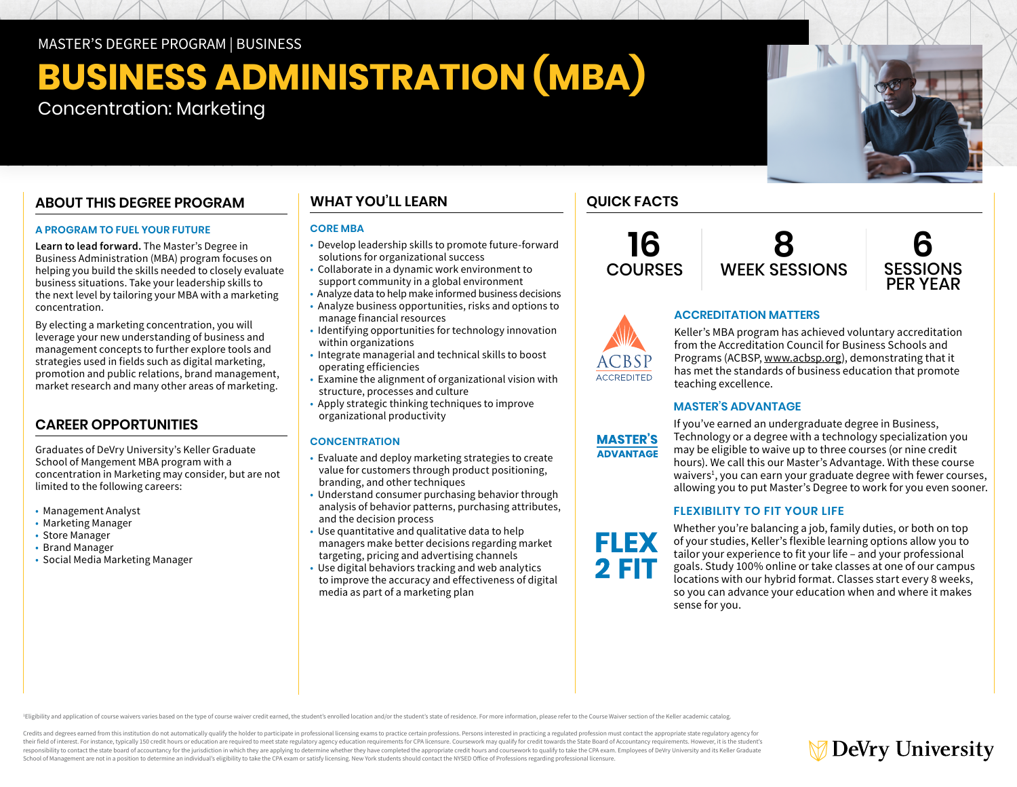# MASTER'S DEGREE PROGRAM | BUSINESS

# **BUSINESS ADMINISTRATION (MBA)**  Concentration: Marketing

# **ABOUT THIS DEGREE PROGRAM**

### **A PROGRAM TO FUEL YOUR FUTURE**

**Learn to lead forward.** The Master's Degree in Business Administration (MBA) program focuses on helping you build the skills needed to closely evaluate business situations. Take your leadership skills to the next level by tailoring your MBA with a marketing concentration.

By electing a marketing concentration, you will leverage your new understanding of business and management concepts to further explore tools and strategies used in fields such as digital marketing, promotion and public relations, brand management, market research and many other areas of marketing.

# **CAREER OPPORTUNITIES**

Graduates of DeVry University's Keller Graduate School of Mangement MBA program with a concentration in Marketing may consider, but are not limited to the following careers:

- Management Analyst
- Marketing Manager
- Store Manager
- Brand Manager
- Social Media Marketing Manager

# **WHAT YOU'LL LEARN**

### **CORE MBA**

- Develop leadership skills to promote future-forward solutions for organizational success
- Collaborate in a dynamic work environment to support community in a global environment
- Analyze data to help make informed business decisions
- Analyze business opportunities, risks and options to manage financial resources
- Identifying opportunities for technology innovation within organizations
- Integrate managerial and technical skills to boost operating efficiencies
- Examine the alignment of organizational vision with structure, processes and culture
- Apply strategic thinking techniques to improve organizational productivity

# **CONCENTRATION**

- Evaluate and deploy marketing strategies to create value for customers through product positioning, branding, and other techniques
- Understand consumer purchasing behavior through analysis of behavior patterns, purchasing attributes, and the decision process
- Use quantitative and qualitative data to help managers make better decisions regarding market targeting, pricing and advertising channels
- Use digital behaviors tracking and web analytics to improve the accuracy and effectiveness of digital media as part of a marketing plan

# **QUICK FACTS**

**16 COURSES** 





# **ACCREDITATION MATTERS**

Keller's MBA program has achieved voluntary accreditation from the Accreditation Council for Business Schools and Programs (ACBSP, [www.acbsp.org](https://www.acbsp.org)), demonstrating that it has met the standards of business education that promote teaching excellence.

### **MASTER'S ADVANTAGE**



**FLEX** 

**2 FIT** 

**ACCREDITED** 

If you've earned an undergraduate degree in Business, Technology or a degree with a technology specialization you may be eligible to waive up to three courses (or nine credit hours). We call this our Master's Advantage. With these course waivers<sup>1</sup>, you can earn your graduate degree with fewer courses, allowing you to put Master's Degree to work for you even sooner.

### **FLEXIBILITY TO FIT YOUR LIFE**

Whether you're balancing a job, family duties, or both on top of your studies, Keller's flexible learning options allow you to tailor your experience to fit your life – and your professional goals. Study 100% online or take classes at one of our campus locations with our hybrid format. Classes start every 8 weeks, so you can advance your education when and where it makes sense for you.

Eligibility and application of course waivers varies based on the type of course waiver credit earned, the student's enrolled location and/or the student's state of residence. For more information, please refer to the Cour

Credits and degrees earned from this institution do not automatically qualify the holder to participate in professional licensing exams to practice certain professions. Persons interested in practicing a regulated professi their field of interest. For instance, typically 150 credit hours or education are required to meet state regulatory agency education requirements for CPA licensure. Coursework may qualify for credit towards the State Boar responsibility to contact the state board of accountancy for the jurisdiction in which they are applying to determine whether they have completed the appropriate credit hours and coursework to qualify to take the CPA exam. School of Management are not in a position to determine an individual's eligibility to take the CPA exam or satisfy licensing. New York students should contact the NYSED Office of Professions regarding professional licensu